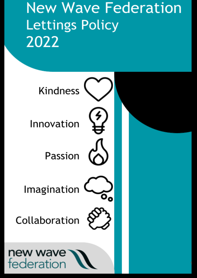# **New Wave Federation Lettings Policy** 2022

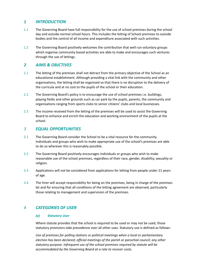# *1 INTRODUCTION*

- 1.1 The Governing Board have full responsibility for the use of school premises during the school day and outside normal school hours. This includes the letting of School premises to outside bodies and the control of all income and expenditure associated with such activities.
- 1.2 The Governing Board positively welcomes the contribution that well run voluntary groups which organise community based activities are able to make and encourages such ventures through the use of lettings.

# *2 AIMS & OBJCTIVES*

- 2.1 The letting of the premises shall not detract from the primary objective of the School as an educational establishment. Although providing a vital link with the community and other organisations, the letting shall be organised so that there is no disruption to the delivery of the curricula and at no cost to the pupils of the school or their education.
- 2.2 The Governing Board's policy is to encourage the use of school premises i.e. buildings, playing fields and other grounds such as car park by the pupils, parents, the community and organisations ranging from sports clubs to senior citizens' clubs and local businesses.
- 2.3 The income received from the letting of the premises will be used to assist the Governing Board to enhance and enrich the education and working environment of the pupils at the school.

# *3 EQUAL OPPORTUNITIES*

- 3.1 The Governing Board consider the School to be a vital resource for the community. Individuals and groups who wish to make appropriate use of the school's premises are able to do so wherever this is reasonably possible.
- 3.2 The Governing Board positively encourages individuals or groups who wish to make reasonable use of the school premises, regardless of their race, gender, disability, sexuality or religion.
- 3.3 Applications will not be considered from applications for letting from people under 21 years of age.
- 3.4 The hirer will accept responsibility for being on the premises, being in charge of the premises let and for ensuring that all conditions of the letting agreement are observed, particularly those relating to management and supervision of the premises.

# *4 CATEGORIES OF USER*

### *(a) Statutory User*

Where statute provides that the school is required to be used or may not be used, those statutory provisions take precedence over all other uses. Statutory use is defined as follows:

*Use of premises for polling stations or political meetings when a local or parliamentary election has been declared; official meetings of the parish or parochial council; any other statutory purpose. Infrequent use of the school premises required by statute will be accommodated by the Governing Board at a rate to recover costs.*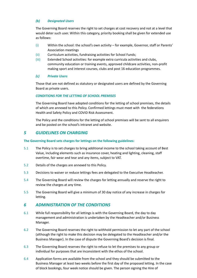#### *(b) Designated Users*

The Governing Board reserves the right to set charges at cost recovery and not at a level that would deter such user. Within this category, priority booking shall be given for extended use as follows:

- (i) Within the school: the school's own activity for example, Governor, staff or Parents' Association meetings
- (ii) Curriculum activities, fundraising activities for School Funds;
- (iii) Extended School activities: for example extra curricula activities and clubs, community education or training events, approved childcare activities, non-profit making sport and interest courses, clubs and post 16 education programmes.

#### *(c) Private Users*

Those that are not defined as statutory or designated users are defined by the Governing Board as private users.

#### *CONDITIONS FOR THE LETTING OF SCHOOL PREMISES*

The Governing Board have adopted conditions for the letting of school premises, the details of which are annexed to this Policy. Confirmed lettings must meet with the federations Health and Safety Policy and COVID Risk Assessment.

The Policy and the conditions for the letting of school premises will be sent to all enquirers and be posted on the school's intranet and website.

### *5 GUIDELINES ON CHARGING*

#### **The Governing Board sets charges for lettings on the following guidelines:**

- 5.1 The Policy is to set charges to bring additional income to the school taking account of Best Value, including elements such as insurance cover, heating and lighting, cleaning, staff overtime, fair wear and tear and any items, subject to VAT.
- 5.2 Details of the charges are annexed to this Policy.
- 5.3 Decisions to waiver or reduce lettings fees are delegated to the Executive Headteacher.
- 5.4 The Governing Board will review the charges for letting annually and reserve the right to review the charges at any time.
- 5.5 The Governing Board will give a minimum of 30 day notice of any increase in charges for letting.

### *6 ADMINISTRATION OF THE CONDITIONS*

- 6.1 While full responsibility for all lettings is with the Governing Board, the day to day management and administration is undertaken by the Headteacher and/or Business Manager.
- 6.2 The Governing Board reserves the right to withhold permission to let any part of the school (although the right to make this decision may be delegated to the Headteacher and/or the Business Manager). In the case of dispute the Governing Board's decision is final.
- 6.3 The Governing Board reserves the right to refuse to let the premises to any group or individual for purposes that are inconsistent with the ethos of the school.
- 6.4 Application forms are available from the school and they should be submitted to the Business Manager at least two weeks before the first day of the proposed letting. In the case of block bookings, four week notice should be given. The person signing the Hire of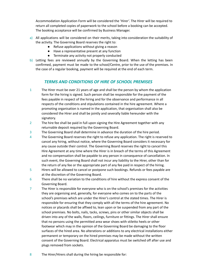Accommodation Application Form will be considered the 'Hirer'. The Hirer will be required to return all completed copies of paperwork to the school before a booking can be accepted. The booking acceptance will be confirmed by Business Manager.

- a) All applications will be considered on their merits, taking into consideration the suitability of the activity. The Governing Board reserves the right to:
	- Refuse applications without giving a reason
	- Have a representative present at any function
	- Terminate any activity not properly conducted
- b) Letting fees are reviewed annually by the Governing Board. When the letting has been confirmed, payment must be made to the school/Centre, prior to the use of the premises. In the case of a regular booking, payment will be required at the end of each term.

# *TERMS AND CONDITIONS OF HIRE OF SCHOOL PREMISES*

- 1 The Hirer must be over 21 years of age and shall be the person by whom the application form for the hiring is signed. Such person shall be responsible for the payment of the fees payable in respect of the hiring and for the observance and performance in all respects of the conditions and stipulations contained in the hire agreement. Where a promoting organisation is named in the application, that organisation shall also be considered the Hirer and shall be jointly and severally liable hereunder with the signatory.
- 2 The hire fee shall be paid in full upon signing the Hire Agreement together with any returnable deposit required by the Governing Board.
- 3 The Governing Board shall determine in advance the duration of the hire period.
- 4 The Governing Board reserves the right to refuse any application. The right is reserved to cancel any hiring, without notice, where the Governing Board considers it necessary for any cause outside their control. The Governing Board reserves the right to cancel this Hire Agreement at any time where the Hirer is in breach of the terms of this Agreement and no compensation shall be payable to any person in consequence of cancellation. In such event, the Governing Board shall not incur any liability to the Hirer, other than for the return of any fee or the appropriate part of any fee paid in respect of the hiring.
- 5 Hirers will be allowed to cancel or postpone such bookings. Refunds or fees payable are at the discretion of the Governing Board.
- 6 There shall be no variation to the conditions of hire without the express consent of the Governing Board.
- 7 The Hirer is responsible for everyone who is on the school's premises for the activities they are organising and, generally, for everyone who comes on to the parts of the school's premises which are under the Hirer's control at the stated times. The Hirer is responsible for ensuring that they comply with all the terms of the hire agreement. No notices or placards shall be affixed to, lean upon or be suspended from any part of the school premises. No bolts, nails, tacks, screws, pins or other similar objects shall be driven into any of the walls, floors, ceilings, furniture or fittings. The Hirer shall ensure that no persons using the permitted area wear shoes with stiletto heels or other footwear which may in the opinion of the Governing Board be damaging to the floor surfaces of the hired area. No alterations or additions to any electrical installations either permanent or temporary on the hired premises may be made without the written consent of the Governing Board. Electrical apparatus must be switched off after use and plugs removed from sockets.
- 8 The Hirer/Hirers shall during the hiring be responsible for: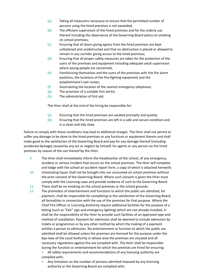- (a) Taking all measurers necessary to ensure that the permitted number of persons using the hired premises is not exceeded;
- (b) The efficient supervision of the hired premises and for the orderly use thereof including the observance of the Governing Board policy on smoking on school premises;
- (c) Ensuring that all doors giving egress from the hired premises are kept unfastened and unobstructed and that no obstruction is placed or allowed to remain in any corridor giving access to the hired premises;
- (d) Ensuring that all proper safety measures are taken for the protection of the users of the premises and equipment including adequate adult supervision where young people are concerned;
- (e) Familiarising themselves and the users of the premises with the fire alarm positions, the locations of the fire-fighting equipment and the establishment's exit routes;
- (f) Ascertaining the location of the nearest emergency telephone;
- (g) The provision of a suitable first aid kit;
- (h) The administration of first aid;

The Hirer shall at the end of the hiring be responsible for:

- (a) Ensuring that the hired premises are vacated promptly and quietly;
- (b) Ensuring that the hired premises are left in a safe and secure condition and in a clean and tidy state.

Failure to comply with these conditions may lead to additional charges. The Hirer shall not permit or suffer any damage to be done to the hired premises or any furniture or equipment therein and shall make good to the satisfaction of the Governing Board and pay for any damage thereof (including accidental damage) caused by any act or neglect by himself, his agents or any person on the hired premises by reason of the use thereof by the Hirer.

- 9 The Hirer shall immediately inform the Headteacher of the school, of any emergency, accident or serious incident that occurs on the school premises. The Hirer will complete and lodge with the school an accident report form, a copy of which is attached herewith.
- 10 Intoxicating liquor shall not be brought into nor consumed on school premises without the prior consent of the Governing Board. Where such consent is given the Hirer must comply with the Licensing Laws and provide evidence of such to the Governing Board.
- 11 There shall be no smoking on the school premises or the school grounds.
- 12 The promoters of entertainment and functions to which the public are admitted, for payment, shall be responsible for completing to the satisfaction of the Governing Board, all formalities in connection with the use of the premises for that purpose. Where the Chief Fire Officer or Licensing Authority require additional facilities for the purpose of a letting (such as "Exit" sign and emergency lighting) which are not already installed, it shall be the responsibility of the Hirer to provide such facilities of an approved type and method of installation. Payment for admission shall be deemed to include admission by tickets or programmes or by any other method by which the making of a payment entitles a person to admission. No entertainment or function to which the public are admitted shall be allowed unless the premises are licensed for the purpose under the bye-laws of the Local Authority in whose area the premises are situated and all necessary regulations against fire are complied with. The Hirer shall be responsible during the function or entertainment for which the premises are hired for ensuring:
	- All safety requirements and recommendations of any licensing authority are complied with;
	- Any limitation on the number of persons admitted imposed by any licensing authority or the Governing Board are complied with;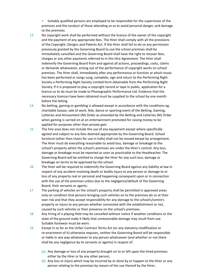• Suitably qualified persons are employed to be responsible for the supervision of the premises and the conduct of those attending so as to avoid personal danger, and damage to the premises.

- 13 No copyright work shall be performed without the licence of the owner of the copyright and the payment of any appropriate fees. The Hirer shall comply with all the provisions of the Copyright, Designs and Patents Act. If the Hirer shall fail to do so any permission previously granted by the Governing Board to use the school premises shall be immediately cancelled and the Governing Board shall have the right to recover fees, charges or any other payments referred to in this Hire Agreement. The Hirer shall indemnify the Governing Board from and against all actions, proceedings, costs, claims or demands whatsoever, arising out of the performance of copyright works on school premises. The Hirer shall, immediately after any performance or function at which music has been performed or songs sung, complete, sign and return to the Performing Right Society a Performing Right Society Limited form obtainable from the Performing Right Society. If it is proposed to play a copyright record or tape in public, application for a licence so to do must be made to Phonographic Performance Ltd. Evidence that the necessary licences have been obtained must be supplied to the school by one month before the letting.
- 14 No betting, gaming or gambling is allowed except in accordance with the conditions eg. charitable bazaar, sale of work, fete, dance or sporting event of the Betting, Gaming, Lotteries and Amusement (NI) Order as amended by the Betting and Lotteries (NI) Order when gaming is carried on at an entertainment promoted for raising money to be applied for purposes other than private gain.
- 15 The hire area does not include the use of any equipment except where specifically agreed and subject to any fees deemed appropriate by the Governing Board. School furniture (other than chairs for use in halls) shall not be moved except by arrangement. The Hirer must do everything reasonable to avoid loss, damage or breakage to the school's property whilst the school's premises are under the Hirer's control. Any loss, damage or breakage must be reported as soon as practicable to the Headteacher. The Governing Board will be entitled to charge the Hirer for any such loss, damage or breakage on terms to be approved by the school.
- 16 The Hirer will be required to indemnify the Governing Board against any liability at law in respect of any accident involving death or bodily injury to any person or damage to or loss of any property real or personal and happening consequent upon or in connection with the use of the premises unless due to the negligence/default of the Governing Board, their servants or agents.
- 17 The parking of vehicles on the school's property shall be permitted in approved areas only on condition that persons bringing such vehicles on to the premises do so at their own risk and that they accept responsibility for any damage to the school's/centre's property or injury to any person whether connected with the establishment or not, caused by such vehicles or their presence on the school's premises.
- 18 Any hiring of a playing field may be cancelled without notice if weather conditions or the state of the ground make it likely that unreasonable damage may result from use. Suitable footwear must be worn.
- 19 Except in so far as the Unfair Contract Terms Act (or any statutory modification or re-enactment of it) otherwise requires, neither the Governing Board will be responsible or liable in any way whatsoever to any person whatsoever (and whether or not there shall be any negligence by its servants or agents) in respect of:
	- (a) Any damage or loss of any property brought on to or left upon the hired premises either by the Hirer or by any other person;
	- (b) Any loss or injury which may be incurred by or done by or happen to the Hirer or any person relating to the premises by reason of the use thereof by the Hirer;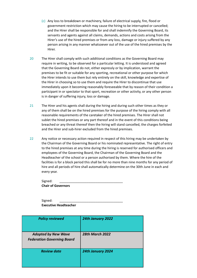- (c) Any loss to breakdown or machinery, failure of electrical supply, fire, flood or government restriction which may cause the hiring to be interrupted or cancelled; and the Hirer shall be responsible for and shall indemnify the Governing Board, its servants and agents against all claims, demands, actions and costs arising from the Hirer's use of the hired premises or from any loss, damage or injury suffered by any person arising in any manner whatsoever out of the use of the hired premises by the Hirer.
- 20 The Hirer shall comply with such additional conditions as the Governing Board may require in writing, to be observed for a particular letting. It is understood and agreed that the Governing Board do not, either expressly or by implication, warrant the premises to be fit or suitable for any sporting, recreational or other purpose for which the Hirer intends to use them but rely entirely on the skill, knowledge and expertise of the Hirer in choosing so to use them and require the Hirer to discontinue that use immediately upon it becoming reasonably foreseeable that by reason of their condition a participant in or spectator to that sport, recreation or other activity, or any other person is in danger of suffering injury, loss or damage.
- 21 The Hirer and his agents shall during the hiring and during such other times as they or any of them shall be on the hired premises for the purpose of the hiring comply with all reasonable requirements of the caretaker of the hired premises. The Hirer shall not sublet the hired premises or any part thereof and in the event of this conditions being breached or any threat thereof then the hiring will stand cancelled, the charges forfeited and the Hirer and sub-hirer excluded from the hired premises.
- 22 Any notice or necessary action required in respect of this hiring may be undertaken by the Chairman of the Governing Board or his nominated representative. The right of entry to the hired premises at any time during the hiring is reserved for authorised officers and employees of the Governing Board, the Chairman of the Governing Board and the Headteacher of the school or a person authorised by them. Where the hire of the facilities is for a block period this shall be for no more than nine months for any period of hire and all periods of hire shall automatically determine on the 30th June in each and every year.

| Signed:                   |  |  |  |
|---------------------------|--|--|--|
| <b>Chair of Governors</b> |  |  |  |

Signed: **Executive Headteacher**

| <b>Policy reviewed</b>                                          | 24th January 2022        |
|-----------------------------------------------------------------|--------------------------|
| <b>Adopted by New Wave</b><br><b>Federation Governing Board</b> | <b>28th March 2022</b>   |
| <b>Review date</b>                                              | <b>24th January 2024</b> |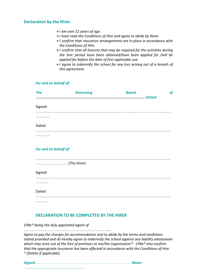## **Declaration by the Hirer:**

- *●I am over 21 years of age.*
- *●I have read the Conditions of Hire and agree to abide by them.*
- *●I confirm that insurance arrangements are in place in accordance with the Conditions of Hire.*
- *●I confirm that all licences that may be required for the activities during the hire period have been obtained/have been applied for /will be applied for before the date of first applicable use.*
- *●I agree to indemnify the school for any loss arising out of a breach of this agreement.*

#### *For and on behalf of:*

| <b>The</b> | <b>Governing</b> | <b>Board</b> | <b>of</b> |
|------------|------------------|--------------|-----------|
|            |                  | . School     |           |
| Signed:    |                  |              |           |
| .          |                  |              |           |
|            |                  |              |           |
| Dated:     |                  |              |           |
| .          |                  |              |           |

#### *For and on behalf of:*

| <br>.       |
|-------------|
| Signed:     |
| .<br>.<br>. |
| Dated:      |
| .           |

### **DECLARATION TO BE COMPLETED BY THE HIRER**

*I/We\* being the duly appointed agent of*

*……………………………………………………….... Agree to pay the charges for accommodation and to abide by the terms and conditions stated provided and do hereby agree to indemnify the school against any liability whatsoever which may arise out of the hire of premises to me/the organisation\*. I/We\* also confirm that the appropriate insurance has been effected in accordance with the Conditions of Hire. \* (Delete if applicable)*

*Signed ……………………………………………………………… Name*

*….........................................................*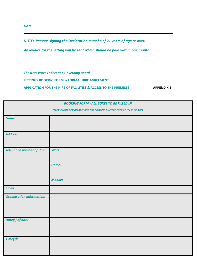*Date …………………………………………………………………*

*NOTE: Persons signing the Declaration must be of 21 years of age or over.*

*An invoice for the letting will be sent which should be paid within one month.*

*The New Wave Federation Governing Board*

**LETTINGS BOOKING FORM & FORMAL HIRE AGREEMENT**

**APPLICATION FOR THE HIRE OF FACILITIES & ACCESS TO THE PREMISES APPENDIX 1**

| <b>BOOKING FORM - ALL BOXES TO BE FILLED IN</b>                        |                |  |  |
|------------------------------------------------------------------------|----------------|--|--|
| (PLEASE NOTE PERSON APPLYING FOR BOOKING MUST BE OVER 21 YEARS OF AGE) |                |  |  |
| Name:                                                                  |                |  |  |
|                                                                        |                |  |  |
| <b>Address</b>                                                         |                |  |  |
|                                                                        |                |  |  |
| <b>Telephone number of Hirer</b>                                       | Work:          |  |  |
|                                                                        |                |  |  |
|                                                                        | Home:          |  |  |
|                                                                        |                |  |  |
|                                                                        | <b>Mobile:</b> |  |  |
| <b>Email:</b>                                                          |                |  |  |
| <b>Organisation Information:</b>                                       |                |  |  |
|                                                                        |                |  |  |
|                                                                        |                |  |  |
| Date(s) of hire:                                                       |                |  |  |
|                                                                        |                |  |  |
| Time(s):                                                               |                |  |  |
|                                                                        |                |  |  |
|                                                                        |                |  |  |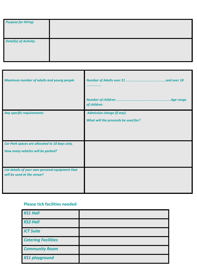| <b>Purpose for Hiring:</b>    |  |
|-------------------------------|--|
| <b>Detail(s) of Activity:</b> |  |

| <b>Maximum number of adults and young people</b>                               |                                     |
|--------------------------------------------------------------------------------|-------------------------------------|
|                                                                                | of children                         |
| <b>Any specific requirements:</b>                                              | <b>Admission charge (if any):</b>   |
|                                                                                | What will the proceeds be used for? |
|                                                                                |                                     |
|                                                                                |                                     |
| Car Park spaces are allocated to 10 bays only.                                 |                                     |
| How many vehicles will be parked?                                              |                                     |
|                                                                                |                                     |
| List details of your own personal equipment that<br>will be used at the venue? |                                     |

# **Please tick facilities needed**

| <b>KS1 Hall</b>            |  |
|----------------------------|--|
| <b>KS2 Hall</b>            |  |
| <b>ICT Suite</b>           |  |
| <b>Catering Facilities</b> |  |
| <b>Community Room</b>      |  |
| <b>KS1 playground</b>      |  |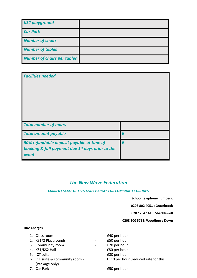| <b>KS2 playground</b>              |  |
|------------------------------------|--|
| <b>Car Park</b>                    |  |
| <b>Number of chairs</b>            |  |
| <b>Number of tables</b>            |  |
| <b>Number of chairs per tables</b> |  |

| <b>Facilities needed</b>                                                                              |   |
|-------------------------------------------------------------------------------------------------------|---|
| <b>Total number of hours</b>                                                                          |   |
| <b>Total amount payable</b>                                                                           | £ |
| 50% refundable deposit payable at time of<br>booking & full payment due 14 days prior to the<br>event | £ |

# *The New Wave Federation*

#### *CURRENT SCALE OF FEES AND CHARGES FOR COMMUNITY GROUPS*

**School telephone numbers:**

**0208 802 4051 : Grazebrook**

**0207 254 1415: Shacklewell**

**0208 800 5758: Woodberry Down**

#### **Hire Charges**

| 1. Class room                   | £40 per hour                         |
|---------------------------------|--------------------------------------|
| 2. KS1/2 Playgrounds            | £50 per hour                         |
| 3. Community room               | £70 per hour                         |
| 4. KS1/KS2 Hall                 | £80 per hour                         |
| 5. ICT suite                    | £80 per hour                         |
| 6. ICT suite & community room - | £110 per hour (reduced rate for this |
| (Package only)                  |                                      |
| 7. Car Park                     | £50 per hour                         |
|                                 |                                      |